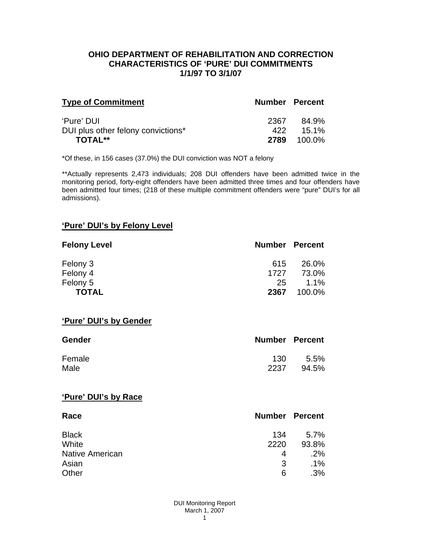#### **OHIO DEPARTMENT OF REHABILITATION AND CORRECTION CHARACTERISTICS OF 'PURE' DUI COMMITMENTS 1/1/97 TO 3/1/07**

| <b>Type of Commitment</b>          | <b>Number Percent</b> |          |
|------------------------------------|-----------------------|----------|
| 'Pure' DUI                         | 2367                  | 84.9%    |
| DUI plus other felony convictions* | 422                   | $15.1\%$ |
| <b>TOTAL**</b>                     | 2789                  | 100.0%   |

\*Of these, in 156 cases (37.0%) the DUI conviction was NOT a felony

\*\*Actually represents 2,473 individuals; 208 DUI offenders have been admitted twice in the monitoring period, forty-eight offenders have been admitted three times and four offenders have been admitted four times; (218 of these multiple commitment offenders were "pure" DUI's for all admissions).

## **'Pure' DUI's by Felony Level**

| <b>Felony Level</b> | <b>Number Percent</b> |         |
|---------------------|-----------------------|---------|
| Felony 3            | 615                   | 26.0%   |
| Felony 4            | 1727                  | 73.0%   |
| Felony 5            | 25                    | $1.1\%$ |
| <b>TOTAL</b>        | 2367                  | 100.0%  |

#### **'Pure' DUI's by Gender**

| Gender | <b>Number Percent</b> |         |
|--------|-----------------------|---------|
| Female | 130                   | $5.5\%$ |
| Male   | 2237                  | 94.5%   |

#### **'Pure' DUI's by Race**

| Race                   | <b>Number Percent</b> |        |
|------------------------|-----------------------|--------|
| <b>Black</b>           | 134                   | 5.7%   |
| White                  | 2220                  | 93.8%  |
| <b>Native American</b> | 4                     | .2%    |
| Asian                  | 3                     | $.1\%$ |
| Other                  | 6                     | .3%    |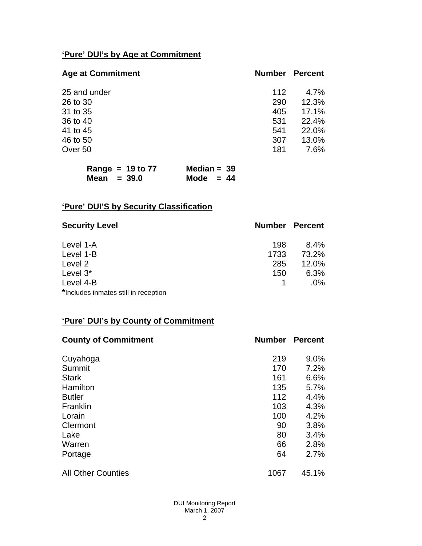# **'Pure' DUI's by Age at Commitment**

| <b>Age at Commitment</b> | <b>Number</b> | <b>Percent</b> |
|--------------------------|---------------|----------------|
| 25 and under             | 112           | $4.7\%$        |
| 26 to 30                 | 290           | 12.3%          |
| 31 to 35                 | 405           | 17.1%          |
| 36 to 40                 | 531           | 22.4%          |
| 41 to 45                 | 541           | 22.0%          |
| 46 to 50                 | 307           | 13.0%          |
| Over 50                  | 181           | 7.6%           |

| Range = $19$ to $77$ | Median = $39$ |  |
|----------------------|---------------|--|
| Mean $=$ 39.0        | Mode $= 44$   |  |

# **'Pure' DUI'S by Security Classification**

| <b>Security Level</b>                | <b>Number Percent</b> |        |
|--------------------------------------|-----------------------|--------|
| Level 1-A                            | 198                   | 8.4%   |
| Level 1-B                            | 1733                  | 73.2%  |
| Level 2                              | 285                   | 12.0%  |
| Level 3*                             | 150                   | 6.3%   |
| Level 4-B                            |                       | $.0\%$ |
| *Includes inmates still in reception |                       |        |

# **'Pure' DUI's by County of Commitment**

| <b>County of Commitment</b> | <b>Number</b> | <b>Percent</b> |
|-----------------------------|---------------|----------------|
| Cuyahoga                    | 219           | $9.0\%$        |
| Summit                      | 170           | 7.2%           |
| <b>Stark</b>                | 161           | 6.6%           |
| Hamilton                    | 135           | 5.7%           |
| <b>Butler</b>               | 112           | 4.4%           |
| Franklin                    | 103           | 4.3%           |
| Lorain                      | 100           | 4.2%           |
| Clermont                    | 90            | 3.8%           |
| Lake                        | 80            | 3.4%           |
| Warren                      | 66            | 2.8%           |
| Portage                     | 64            | 2.7%           |
| <b>All Other Counties</b>   | 1067          | 45.1%          |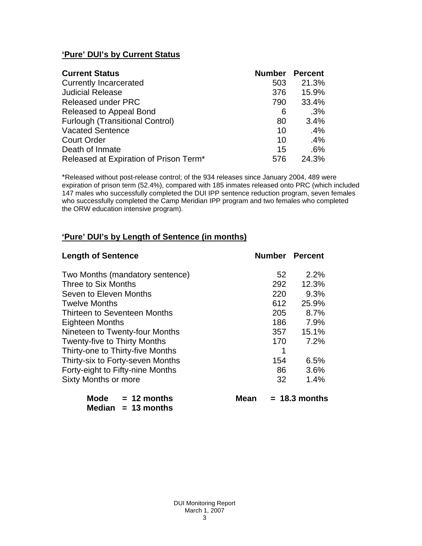# **'Pure' DUI's by Current Status**

| <b>Current Status</b>                  | <b>Number</b> | <b>Percent</b> |
|----------------------------------------|---------------|----------------|
| <b>Currently Incarcerated</b>          | 503           | 21.3%          |
| <b>Judicial Release</b>                | 376           | 15.9%          |
| <b>Released under PRC</b>              | 790           | 33.4%          |
| Released to Appeal Bond                | 6             | .3%            |
| <b>Furlough (Transitional Control)</b> | 80            | 3.4%           |
| <b>Vacated Sentence</b>                | 10            | .4%            |
| <b>Court Order</b>                     | 10            | .4%            |
| Death of Inmate                        | 15            | .6%            |
| Released at Expiration of Prison Term* | 576           | 24.3%          |

\*Released without post-release control; of the 934 releases since January 2004, 489 were expiration of prison term (52.4%), compared with 185 inmates released onto PRC (which included 147 males who successfully completed the DUI IPP sentence reduction program, seven females who successfully completed the Camp Meridian IPP program and two females who completed the ORW education intensive program).

## **'Pure' DUI's by Length of Sentence (in months)**

| <b>Length of Sentence</b>            | <b>Number Percent</b> |                 |
|--------------------------------------|-----------------------|-----------------|
| Two Months (mandatory sentence)      | 52                    | 2.2%            |
| Three to Six Months                  | 292                   | 12.3%           |
| Seven to Eleven Months               | 220                   | 9.3%            |
| <b>Twelve Months</b>                 | 612                   | 25.9%           |
| Thirteen to Seventeen Months         | 205                   | 8.7%            |
| <b>Eighteen Months</b>               | 186                   | 7.9%            |
| Nineteen to Twenty-four Months       | 357                   | 15.1%           |
| <b>Twenty-five to Thirty Months</b>  | 170                   | 7.2%            |
| Thirty-one to Thirty-five Months     | 1                     |                 |
| Thirty-six to Forty-seven Months     | 154                   | 6.5%            |
| Forty-eight to Fifty-nine Months     | 86                    | 3.6%            |
| Sixty Months or more                 | 32                    | 1.4%            |
| <b>Mode</b><br>$= 12$ months<br>Mean |                       | $= 18.3$ months |

 **Median = 13 months**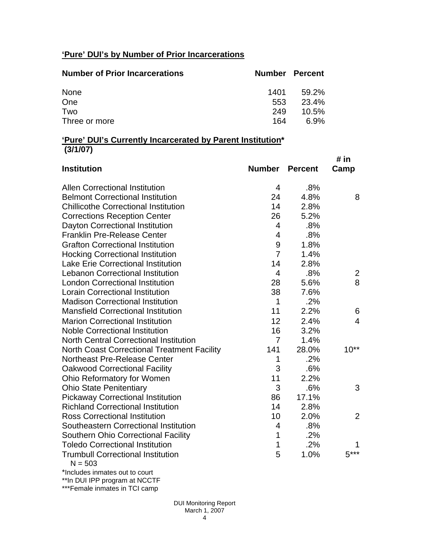# **'Pure' DUI's by Number of Prior Incarcerations**

| <b>Number of Prior Incarcerations</b> | Number Percent |          |
|---------------------------------------|----------------|----------|
| None                                  | 1401           | 59.2%    |
| One                                   | 553            | 23.4%    |
| Two                                   | 249            | $10.5\%$ |
| Three or more                         | 164            | 6.9%     |

#### **'Pure' DUI's Currently Incarcerated by Parent Institution\* (3/1/07)**

| <b>Institution</b>                                    | <b>Number</b>    | <b>Percent</b> | # in<br>Camp   |
|-------------------------------------------------------|------------------|----------------|----------------|
| <b>Allen Correctional Institution</b>                 | 4                | .8%            |                |
| <b>Belmont Correctional Institution</b>               | 24               | 4.8%           | 8              |
| <b>Chillicothe Correctional Institution</b>           | 14               | 2.8%           |                |
| <b>Corrections Reception Center</b>                   | 26               | 5.2%           |                |
| Dayton Correctional Institution                       | $\overline{4}$   | .8%            |                |
| <b>Franklin Pre-Release Center</b>                    | $\overline{4}$   | .8%            |                |
| <b>Grafton Correctional Institution</b>               | $\boldsymbol{9}$ | 1.8%           |                |
| <b>Hocking Correctional Institution</b>               | $\overline{7}$   | 1.4%           |                |
| <b>Lake Erie Correctional Institution</b>             | 14               | 2.8%           |                |
| <b>Lebanon Correctional Institution</b>               | $\overline{4}$   | .8%            | $\overline{2}$ |
| <b>London Correctional Institution</b>                | 28               | 5.6%           | 8              |
| <b>Lorain Correctional Institution</b>                | 38               | 7.6%           |                |
| <b>Madison Correctional Institution</b>               | $\mathbf 1$      | .2%            |                |
| <b>Mansfield Correctional Institution</b>             | 11               | 2.2%           | 6              |
| <b>Marion Correctional Institution</b>                | 12               | 2.4%           | 4              |
| <b>Noble Correctional Institution</b>                 | 16               | 3.2%           |                |
| <b>North Central Correctional Institution</b>         | $\overline{7}$   | 1.4%           |                |
| <b>North Coast Correctional Treatment Facility</b>    | 141              | 28.0%          | $10**$         |
| <b>Northeast Pre-Release Center</b>                   | 1                | .2%            |                |
| <b>Oakwood Correctional Facility</b>                  | 3                | .6%            |                |
| Ohio Reformatory for Women                            | 11               | 2.2%           |                |
| <b>Ohio State Penitentiary</b>                        | 3                | .6%            | 3              |
| <b>Pickaway Correctional Institution</b>              | 86               | 17.1%          |                |
| <b>Richland Correctional Institution</b>              | 14               | 2.8%           |                |
| <b>Ross Correctional Institution</b>                  | 10               | 2.0%           | 2              |
| Southeastern Correctional Institution                 | 4                | .8%            |                |
| Southern Ohio Correctional Facility                   | 1                | .2%            |                |
| <b>Toledo Correctional Institution</b>                | 1                | .2%            | 1              |
| <b>Trumbull Correctional Institution</b><br>$N = 503$ | 5                | 1.0%           | $5***$         |
|                                                       |                  |                |                |

\*Includes inmates out to court

\*\*In DUI IPP program at NCCTF \*\*\*Female inmates in TCI camp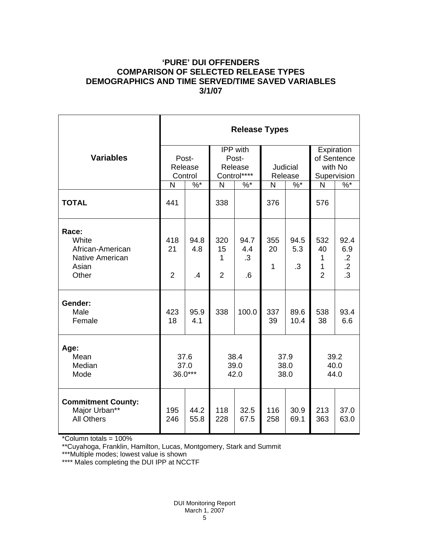## **'PURE' DUI OFFENDERS COMPARISON OF SELECTED RELEASE TYPES DEMOGRAPHICS AND TIME SERVED/TIME SAVED VARIABLES 3/1/07**

|                                                                         | <b>Release Types</b>        |                              |                                             |                         |                            |                   |                                                     |                                         |  |  |
|-------------------------------------------------------------------------|-----------------------------|------------------------------|---------------------------------------------|-------------------------|----------------------------|-------------------|-----------------------------------------------------|-----------------------------------------|--|--|
| <b>Variables</b>                                                        | Post-<br>Release<br>Control |                              | IPP with<br>Post-<br>Release<br>Control**** |                         | <b>Judicial</b><br>Release |                   | Expiration<br>of Sentence<br>with No<br>Supervision |                                         |  |  |
|                                                                         | N                           | $\frac{9}{6}$                | N                                           | $\%$ *                  | N                          | $\sqrt[6]{6}$     | N                                                   | $\%$                                    |  |  |
| <b>TOTAL</b>                                                            | 441                         |                              | 338                                         |                         | 376                        |                   | 576                                                 |                                         |  |  |
| Race:<br>White<br>African-American<br>Native American<br>Asian<br>Other | 418<br>21<br>$\overline{2}$ | 94.8<br>4.8<br>$\mathcal{A}$ | 320<br>15<br>1<br>$\overline{2}$            | 94.7<br>4.4<br>.3<br>.6 | 355<br>20<br>1             | 94.5<br>5.3<br>.3 | 532<br>40<br>1<br>$\mathbf{1}$<br>$\overline{2}$    | 92.4<br>6.9<br>$\cdot$<br>$\frac{1}{3}$ |  |  |
| Gender:<br>Male<br>Female                                               | 423<br>18                   | 95.9<br>4.1                  | 338                                         | 100.0                   | 337<br>39                  | 89.6<br>10.4      | 538<br>38                                           | 93.4<br>6.6                             |  |  |
| Age:<br>Mean<br>Median<br>Mode                                          | 37.6<br>37.0<br>36.0***     |                              | 38.4<br>39.0<br>42.0                        |                         | 37.9<br>38.0<br>38.0       |                   | 39.2<br>40.0<br>44.0                                |                                         |  |  |
| <b>Commitment County:</b><br>Major Urban**<br><b>All Others</b>         | 195<br>246                  | 44.2<br>55.8                 | 118<br>228                                  | 32.5<br>67.5            | 116<br>258                 | 30.9<br>69.1      | 213<br>363                                          | 37.0<br>63.0                            |  |  |

\*Column totals = 100%

\*\*Cuyahoga, Franklin, Hamilton, Lucas, Montgomery, Stark and Summit

\*\*\*Multiple modes; lowest value is shown

\*\*\*\* Males completing the DUI IPP at NCCTF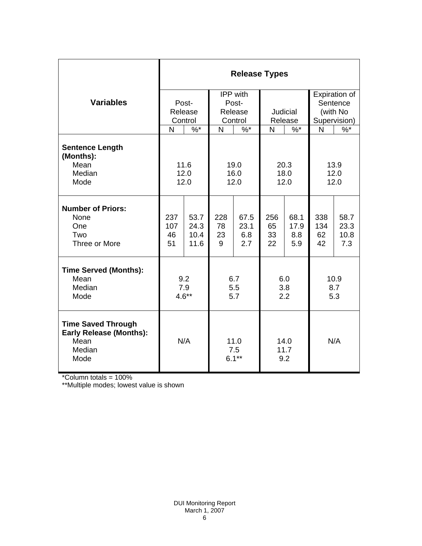|                                                                                       | <b>Release Types</b> |         |                        |        |                     |        |              |               |  |  |
|---------------------------------------------------------------------------------------|----------------------|---------|------------------------|--------|---------------------|--------|--------------|---------------|--|--|
|                                                                                       |                      |         | IPP with               |        |                     |        |              | Expiration of |  |  |
| <b>Variables</b>                                                                      |                      | Post-   | Post-                  |        |                     |        |              | Sentence      |  |  |
|                                                                                       |                      | Release | Release                |        | Judicial            |        | (with No     |               |  |  |
|                                                                                       |                      | Control | Control                |        | Release             |        | Supervision) |               |  |  |
|                                                                                       | N                    | $\%$ *  | N                      | $\%$ * | N                   | $\%$ * | N            | $\%$          |  |  |
| <b>Sentence Length</b><br>(Months):                                                   |                      |         |                        |        |                     |        |              |               |  |  |
| Mean                                                                                  | 11.6                 |         | 19.0                   |        | 20.3                |        | 13.9         |               |  |  |
| Median<br>Mode                                                                        | 12.0                 |         | 16.0                   |        | 18.0<br>12.0        |        | 12.0<br>12.0 |               |  |  |
|                                                                                       | 12.0                 |         | 12.0                   |        |                     |        |              |               |  |  |
| <b>Number of Priors:</b><br>None                                                      | 237                  | 53.7    | 228                    | 67.5   | 256                 | 68.1   | 338          | 58.7          |  |  |
| One                                                                                   | 107                  | 24.3    | 78                     | 23.1   | 65                  | 17.9   | 134          | 23.3          |  |  |
| Two                                                                                   | 46                   | 10.4    | 23                     | 6.8    | 33                  | 8.8    | 62           | 10.8          |  |  |
| Three or More                                                                         | 51                   | 11.6    | 9                      | 2.7    | 22                  | 5.9    | 42           | 7.3           |  |  |
| <b>Time Served (Months):</b>                                                          |                      |         |                        |        |                     |        |              |               |  |  |
| Mean                                                                                  | 9.2                  |         | 6.7                    |        | 6.0                 |        | 10.9         |               |  |  |
| Median                                                                                | 7.9                  |         | 5.5                    |        | 3.8                 |        | 8.7          |               |  |  |
| Mode                                                                                  | $4.6**$              |         | 5.7                    |        | 2.2                 |        | 5.3          |               |  |  |
| <b>Time Saved Through</b><br><b>Early Release (Months):</b><br>Mean<br>Median<br>Mode | N/A                  |         | 11.0<br>7.5<br>$6.1**$ |        | 14.0<br>11.7<br>9.2 |        | N/A          |               |  |  |

\*Column totals = 100%

\*\*Multiple modes; lowest value is shown